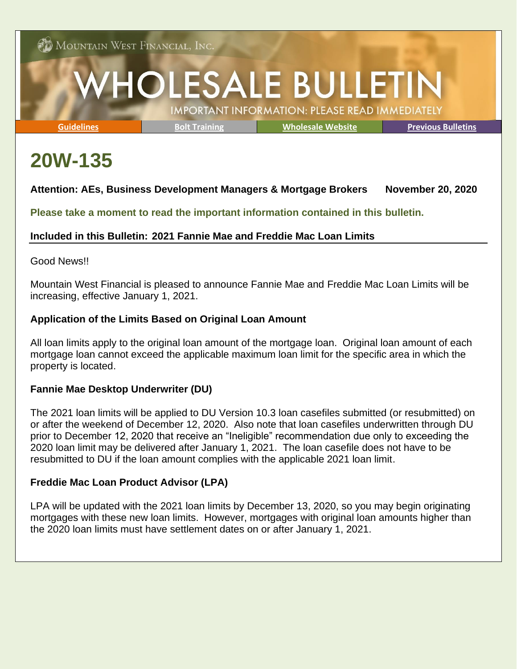**CD** Mountain West Financial, Inc.

# **HOLESALE BULLETIN IMPORTANT INFORMATION: PLEASE READ IMMEDIATELY**

**[Guidelines](https://mwfwholesale.com/loan-products/) [Bolt Training](https://mwfwholesale.com/videos/bolt/) [Wholesale Website](http://www.mwfwholesale.com/) [Previous Bulletins](https://mwfwholesale.com/news-events/)**

# **20W-135**

# **Attention: AEs, Business Development Managers & Mortgage Brokers November 20, 2020**

**Please take a moment to read the important information contained in this bulletin.**

## **Included in this Bulletin: 2021 Fannie Mae and Freddie Mac Loan Limits**

#### Good News!!

Mountain West Financial is pleased to announce Fannie Mae and Freddie Mac Loan Limits will be increasing, effective January 1, 2021.

## **Application of the Limits Based on Original Loan Amount**

All loan limits apply to the original loan amount of the mortgage loan. Original loan amount of each mortgage loan cannot exceed the applicable maximum loan limit for the specific area in which the property is located.

#### **Fannie Mae Desktop Underwriter (DU)**

The 2021 loan limits will be applied to DU Version 10.3 loan casefiles submitted (or resubmitted) on or after the weekend of December 12, 2020. Also note that loan casefiles underwritten through DU prior to December 12, 2020 that receive an "Ineligible" recommendation due only to exceeding the 2020 loan limit may be delivered after January 1, 2021. The loan casefile does not have to be resubmitted to DU if the loan amount complies with the applicable 2021 loan limit.

#### **Freddie Mac Loan Product Advisor (LPA)**

LPA will be updated with the 2021 loan limits by December 13, 2020, so you may begin originating mortgages with these new loan limits. However, mortgages with original loan amounts higher than the 2020 loan limits must have settlement dates on or after January 1, 2021.